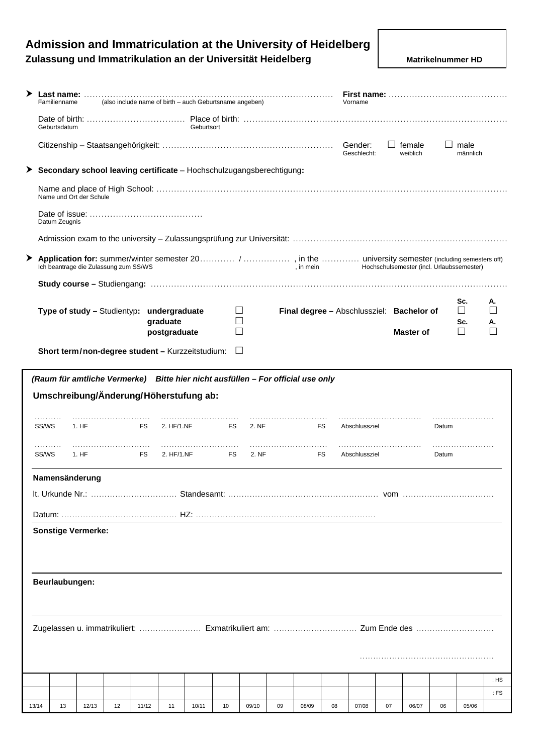# **Admission and Immatriculation at the University of Heidelberg Zulassung und Immatrikulation an der Universität Heidelberg Matrikelnummer HD** Matrikelnummer HD

| ▸     |            | Familienname   |                                       |    |                                                  |                          |            | (also include name of birth - auch Geburtsname angeben) |                                                                                 |    |           |     | Vorname                |              |                                           |         |                          |              |
|-------|------------|----------------|---------------------------------------|----|--------------------------------------------------|--------------------------|------------|---------------------------------------------------------|---------------------------------------------------------------------------------|----|-----------|-----|------------------------|--------------|-------------------------------------------|---------|--------------------------|--------------|
|       |            | Geburtsdatum   |                                       |    |                                                  |                          | Geburtsort |                                                         |                                                                                 |    |           |     |                        |              |                                           |         |                          |              |
|       |            |                |                                       |    |                                                  |                          |            |                                                         |                                                                                 |    |           |     | Gender:<br>Geschlecht: | $\mathbf{1}$ | female<br>weiblich                        | $\perp$ | male<br>männlich         |              |
|       |            |                |                                       |    |                                                  |                          |            |                                                         | Secondary school leaving certificate - Hochschulzugangsberechtigung:            |    |           |     |                        |              |                                           |         |                          |              |
|       |            |                | Name und Ort der Schule               |    |                                                  |                          |            |                                                         |                                                                                 |    |           |     |                        |              |                                           |         |                          |              |
|       |            | Datum Zeugnis  |                                       |    |                                                  |                          |            |                                                         |                                                                                 |    |           |     |                        |              |                                           |         |                          |              |
|       |            |                |                                       |    |                                                  |                          |            |                                                         |                                                                                 |    |           |     |                        |              |                                           |         |                          |              |
| ➤     |            |                | Ich beantrage die Zulassung zum SS/WS |    |                                                  |                          |            |                                                         |                                                                                 |    | , in mein |     |                        |              | Hochschulsemester (incl. Urlaubssemester) |         |                          |              |
|       |            |                |                                       |    |                                                  |                          |            |                                                         |                                                                                 |    |           |     |                        |              |                                           |         |                          |              |
|       |            |                |                                       |    | Type of study - Studientyp: undergraduate        |                          |            |                                                         |                                                                                 |    |           |     |                        |              | Final degree - Abschlussziel: Bachelor of |         | Sc.<br>П                 | А.           |
|       |            |                |                                       |    |                                                  | graduate<br>postgraduate |            |                                                         |                                                                                 |    |           |     |                        |              | <b>Master of</b>                          |         | Sc.<br>$\vert \ \ \vert$ | Α.           |
|       |            |                |                                       |    | Short term/non-degree student - Kurzzeitstudium: |                          |            |                                                         | $\Box$                                                                          |    |           |     |                        |              |                                           |         |                          |              |
|       |            |                |                                       |    |                                                  |                          |            |                                                         |                                                                                 |    |           |     |                        |              |                                           |         |                          |              |
|       |            |                |                                       |    | Umschreibung/Änderung/Höherstufung ab:           |                          |            |                                                         | (Raum für amtliche Vermerke) Bitte hier nicht ausfüllen - For official use only |    |           |     |                        |              |                                           |         |                          |              |
|       | SS/WS      |                | 1. HF                                 |    | <b>FS</b>                                        | 2. HF/1.NF               |            | FS                                                      | 2. NF                                                                           |    |           | FS. | Abschlussziel          |              |                                           | Datum   |                          |              |
|       | .<br>SS/WS |                | 1. HF                                 |    | FS                                               | 2. HF/1.NF               |            | FS                                                      | 2. NF                                                                           |    |           | FS  | Abschlussziel          |              |                                           | Datum   |                          |              |
|       |            |                | Namensänderung                        |    |                                                  |                          |            |                                                         |                                                                                 |    |           |     |                        |              |                                           |         |                          |              |
|       |            |                |                                       |    |                                                  |                          |            |                                                         |                                                                                 |    |           |     |                        |              |                                           |         |                          |              |
|       |            |                |                                       |    |                                                  |                          |            |                                                         |                                                                                 |    |           |     |                        |              |                                           |         |                          |              |
|       |            |                | <b>Sonstige Vermerke:</b>             |    |                                                  |                          |            |                                                         |                                                                                 |    |           |     |                        |              |                                           |         |                          |              |
|       |            |                |                                       |    |                                                  |                          |            |                                                         |                                                                                 |    |           |     |                        |              |                                           |         |                          |              |
|       |            |                |                                       |    |                                                  |                          |            |                                                         |                                                                                 |    |           |     |                        |              |                                           |         |                          |              |
|       |            | Beurlaubungen: |                                       |    |                                                  |                          |            |                                                         |                                                                                 |    |           |     |                        |              |                                           |         |                          |              |
|       |            |                |                                       |    |                                                  |                          |            |                                                         |                                                                                 |    |           |     |                        |              |                                           |         |                          |              |
|       |            |                |                                       |    |                                                  |                          |            |                                                         |                                                                                 |    |           |     |                        |              |                                           |         |                          |              |
|       |            |                |                                       |    |                                                  |                          |            |                                                         |                                                                                 |    |           |     |                        |              |                                           |         |                          |              |
|       |            |                |                                       |    |                                                  |                          |            |                                                         |                                                                                 |    |           |     |                        |              |                                           |         |                          |              |
|       |            |                |                                       |    |                                                  |                          |            |                                                         |                                                                                 |    |           |     |                        |              |                                           |         |                          | : HS<br>: FS |
| 13/14 |            | 13             | 12/13                                 | 12 | 11/12                                            | 11                       | 10/11      | 10                                                      | 09/10                                                                           | 09 | 08/09     | 08  | 07/08                  | 07           | 06/07                                     | 06      | 05/06                    |              |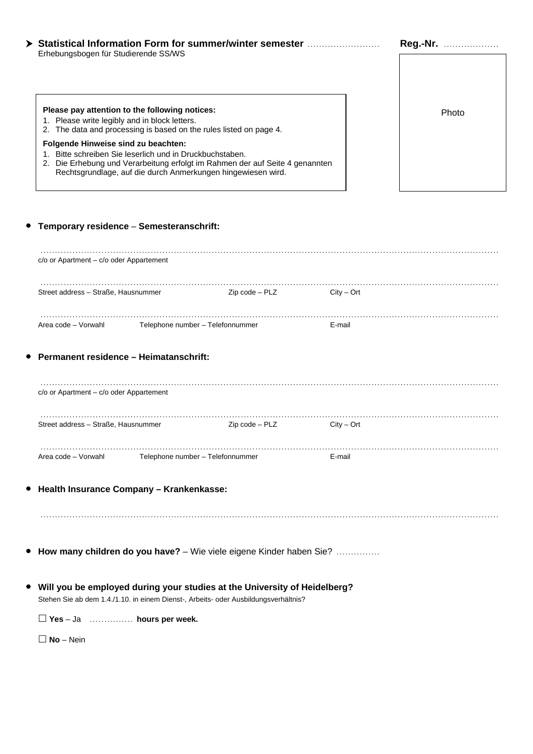|                                      | Reg.-Nr.<br>. |
|--------------------------------------|---------------|
| Erhebungsbogen für Studierende SS/WS |               |

# **Please pay attention to the following notices: Please pay attention to the following notices:** Photo

- 1. Please write legibly and in block letters.
- 2. The data and processing is based on the rules listed on page 4.

### **Folgende Hinweise sind zu beachten:**

- 1. Bitte schreiben Sie leserlich und in Druckbuchstaben.
- 2. Die Erhebung und Verarbeitung erfolgt im Rahmen der auf Seite 4 genannten Rechtsgrundlage, auf die durch Anmerkungen hingewiesen wird.

## y **Temporary residence** – **Semesteranschrift:**

| c/o or Apartment - c/o oder Appartement                                                                                                                            |                |              |  |
|--------------------------------------------------------------------------------------------------------------------------------------------------------------------|----------------|--------------|--|
| Street address - Straße, Hausnummer                                                                                                                                | Zip code – PLZ | $City - Ort$ |  |
| Area code - Vorwahl Telephone number - Telefonnummer                                                                                                               |                | E-mail       |  |
| <b>Permanent residence - Heimatanschrift:</b>                                                                                                                      |                |              |  |
| $c/o$ or Apartment – $c/o$ oder Appartement                                                                                                                        |                |              |  |
| Street address - Straße, Hausnummer                                                                                                                                | Zip code - PLZ | $City - Ort$ |  |
| Area code - Vorwahl Telephone number - Telefonnummer                                                                                                               |                | E-mail       |  |
| <b>•</b> Health Insurance Company - Krankenkasse:                                                                                                                  |                |              |  |
|                                                                                                                                                                    |                |              |  |
| ● How many children do you have? - Wie viele eigene Kinder haben Sie?                                                                                              |                |              |  |
| • Will you be employed during your studies at the University of Heidelberg?<br>Stehen Sie ab dem 1.4./1.10. in einem Dienst-, Arbeits- oder Ausbildungsverhältnis? |                |              |  |
| $\Box$ Yes - Ja  hours per week.                                                                                                                                   |                |              |  |
| $\Box$ No – Nein                                                                                                                                                   |                |              |  |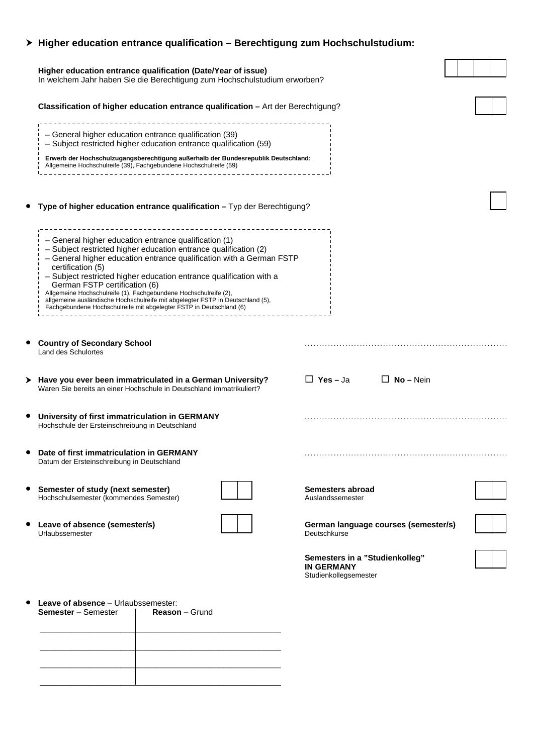| $\triangleright$ Higher education entrance qualification – Berechtigung zum Hochschulstudium:<br>Higher education entrance qualification (Date/Year of issue)<br>In welchem Jahr haben Sie die Berechtigung zum Hochschulstudium erworben?                                                                                                                                                                                                                                                                                                                  |                                                                              |
|-------------------------------------------------------------------------------------------------------------------------------------------------------------------------------------------------------------------------------------------------------------------------------------------------------------------------------------------------------------------------------------------------------------------------------------------------------------------------------------------------------------------------------------------------------------|------------------------------------------------------------------------------|
| Classification of higher education entrance qualification - Art der Berechtigung?                                                                                                                                                                                                                                                                                                                                                                                                                                                                           |                                                                              |
| - General higher education entrance qualification (39)<br>- Subject restricted higher education entrance qualification (59)                                                                                                                                                                                                                                                                                                                                                                                                                                 |                                                                              |
| Erwerb der Hochschulzugangsberechtigung außerhalb der Bundesrepublik Deutschland:<br>Allgemeine Hochschulreife (39), Fachgebundene Hochschulreife (59)                                                                                                                                                                                                                                                                                                                                                                                                      |                                                                              |
| Type of higher education entrance qualification - Typ der Berechtigung?                                                                                                                                                                                                                                                                                                                                                                                                                                                                                     |                                                                              |
| - General higher education entrance qualification (1)<br>- Subject restricted higher education entrance qualification (2)<br>- General higher education entrance qualification with a German FSTP<br>certification (5)<br>- Subject restricted higher education entrance qualification with a<br>German FSTP certification (6)<br>Allgemeine Hochschulreife (1), Fachgebundene Hochschulreife (2),<br>allgemeine ausländische Hochschulreife mit abgelegter FSTP in Deutschland (5),<br>Fachgebundene Hochschulreife mit abgelegter FSTP in Deutschland (6) |                                                                              |
| <b>Country of Secondary School</b><br><b>Land des Schulortes</b>                                                                                                                                                                                                                                                                                                                                                                                                                                                                                            |                                                                              |
| > Have you ever been immatriculated in a German University?<br>Waren Sie bereits an einer Hochschule in Deutschland immatrikuliert?                                                                                                                                                                                                                                                                                                                                                                                                                         | $\Box$ Yes – Ja<br>$\Box$ No – Nein                                          |
| University of first immatriculation in GERMANY<br>Hochschule der Ersteinschreibung in Deutschland                                                                                                                                                                                                                                                                                                                                                                                                                                                           |                                                                              |
| Date of first immatriculation in GERMANY<br>Datum der Ersteinschreibung in Deutschland                                                                                                                                                                                                                                                                                                                                                                                                                                                                      |                                                                              |
| Semester of study (next semester)<br>Hochschulsemester (kommendes Semester)                                                                                                                                                                                                                                                                                                                                                                                                                                                                                 | Semesters abroad<br>Auslandssemester                                         |
| Leave of absence (semester/s)<br>Urlaubssemester                                                                                                                                                                                                                                                                                                                                                                                                                                                                                                            | German language courses (semester/s)<br>Deutschkurse                         |
|                                                                                                                                                                                                                                                                                                                                                                                                                                                                                                                                                             | Semesters in a "Studienkolleg"<br><b>IN GERMANY</b><br>Studienkollegsemester |

| <b>Leave of absence</b> - Urlaubssemester:<br><b>Semester</b> – Semester | <b>Reason</b> – Grund |
|--------------------------------------------------------------------------|-----------------------|
|                                                                          |                       |
|                                                                          |                       |
|                                                                          |                       |